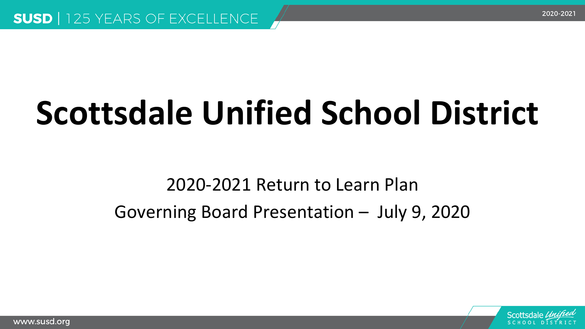# **Scottsdale Unified School District**

#### 2020-2021 Return to Learn Plan Governing Board Presentation – July 9, 2020

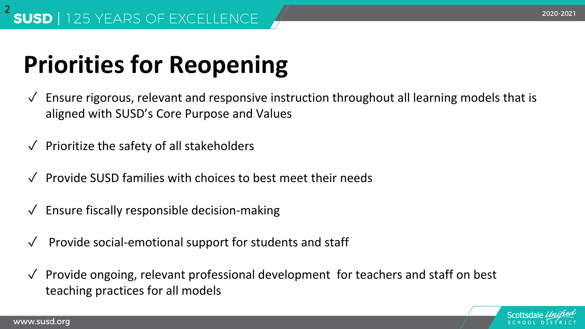## **Priorities for Reopening**

- $\sqrt{\ }$  Ensure rigorous, relevant and responsive instruction throughout all learning models that is aligned with SUSD's Core Purpose and Values
- $\sqrt{\phantom{a}}$  Prioritize the safety of all stakeholders
- ✓ Provide SUSD families with choices to best meet their needs
- $\sqrt{\ }$  Ensure fiscally responsible decision-making
- ✓ Provide social-emotional support for students and staff
- ✓ Provide ongoing, relevant professional development for teachers and staff on best teaching practices for all models

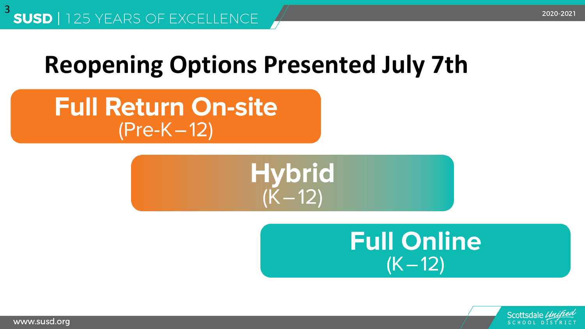#### **Reopening Options Presented July 7th**

**Full Return On-site**  $(Pre-K-12)$ 





SCHOOL DISTR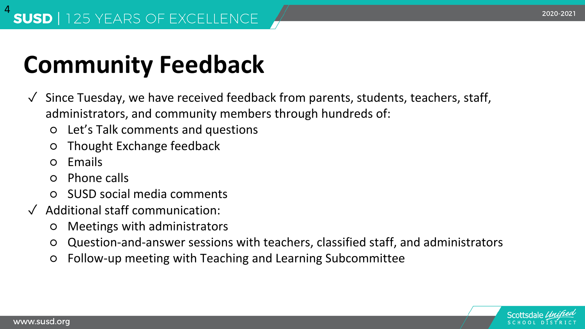## **Community Feedback**

- ✓ Since Tuesday, we have received feedback from parents, students, teachers, staff, administrators, and community members through hundreds of:
	- Let's Talk comments and questions
	- Thought Exchange feedback
	- Emails
	- Phone calls
	- **SUSD social media comments**
- ✓ Additional staff communication:
	- Meetings with administrators
	- Question-and-answer sessions with teachers, classified staff, and administrators
	- Follow-up meeting with Teaching and Learning Subcommittee

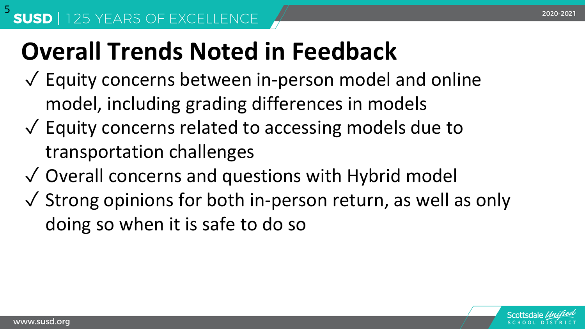## **Overall Trends Noted in Feedback**

- $\sqrt{\ }$  Equity concerns between in-person model and online model, including grading differences in models
- ✓ Equity concerns related to accessing models due to transportation challenges
- ✓ Overall concerns and questions with Hybrid model
- $\sqrt{\ }$  Strong opinions for both in-person return, as well as only doing so when it is safe to do so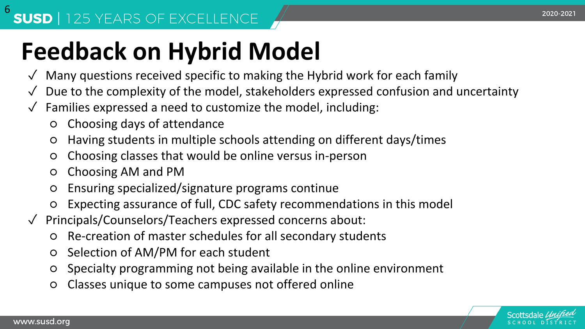## **Feedback on Hybrid Model**

- $\sqrt{\ }$  Many questions received specific to making the Hybrid work for each family
- ✓ Due to the complexity of the model, stakeholders expressed confusion and uncertainty
- $\sqrt{\ }$  Families expressed a need to customize the model, including:
	- Choosing days of attendance
	- Having students in multiple schools attending on different days/times
	- Choosing classes that would be online versus in-person
	- Choosing AM and PM
	- Ensuring specialized/signature programs continue
	- Expecting assurance of full, CDC safety recommendations in this model
- ✓ Principals/Counselors/Teachers expressed concerns about:
	- Re-creation of master schedules for all secondary students
	- Selection of AM/PM for each student
	- Specialty programming not being available in the online environment
	- Classes unique to some campuses not offered online

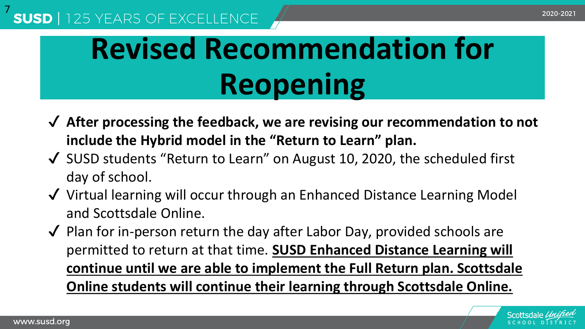#### 7

## **Revised Recommendation for Reopening**

- ✔ **After processing the feedback, we are revising our recommendation to not include the Hybrid model in the "Return to Learn" plan.**
- ✔ SUSD students "Return to Learn" on August 10, 2020, the scheduled first day of school.
- ✔ Virtual learning will occur through an Enhanced Distance Learning Model and Scottsdale Online.
- ✔ Plan for in-person return the day after Labor Day, provided schools are permitted to return at that time. **SUSD Enhanced Distance Learning will continue until we are able to implement the Full Return plan. Scottsdale Online students will continue their learning through Scottsdale Online.**

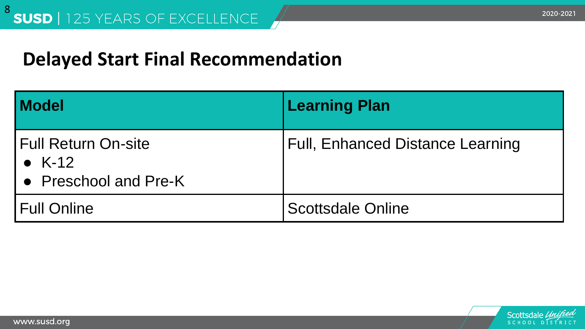#### **Delayed Start Final Recommendation**

| <b>Model</b>                                             | <b>Learning Plan</b>             |
|----------------------------------------------------------|----------------------------------|
| Full Return On-site<br>• $K-12$<br>• Preschool and Pre-K | Full, Enhanced Distance Learning |
| <b>Full Online</b>                                       | <b>Scottsdale Online</b>         |

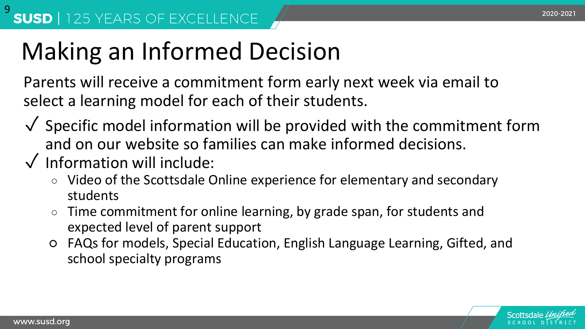### Making an Informed Decision

Parents will receive a commitment form early next week via email to select a learning model for each of their students.

- $\sqrt{\ }$  Specific model information will be provided with the commitment form and on our website so families can make informed decisions.
- ✓ Information will include:
	- Video of the Scottsdale Online experience for elementary and secondary students
	- Time commitment for online learning, by grade span, for students and expected level of parent support
	- FAQs for models, Special Education, English Language Learning, Gifted, and school specialty programs